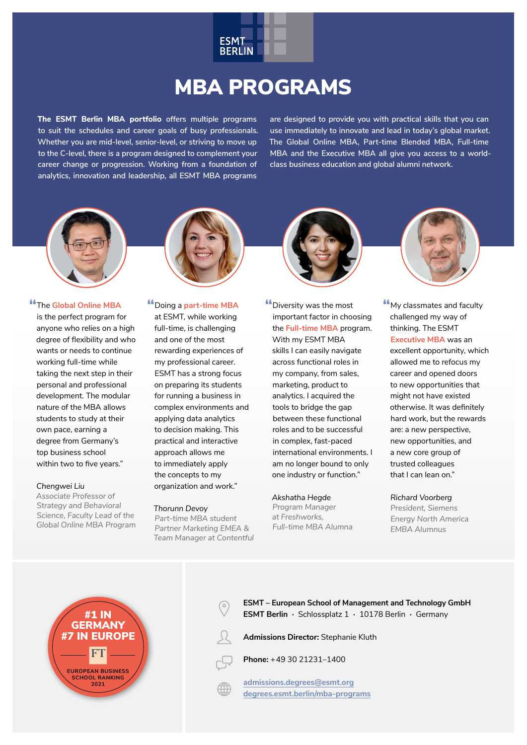

# MBA PROGRAMS

**The ESMT Berlin MBA portfolio offers multiple programs to suit the schedules and career goals of busy professionals. Whether you are mid-level, senior-level, or striving to move up to the C-level, there is a program designed to complement your career change or progression. Working from a foundation of analytics, innovation and leadership, all ESMT MBA programs** 

**are designed to provide you with practical skills that you can use immediately to innovate and lead in today's global market. The Global Online MBA, Part-time Blended MBA, Full-time MBA and the Executive MBA all give you access to a worldclass business education and global alumni network.**





## **"**The **Global Online MBA**

is the perfect program for anyone who relies on a high degree of flexibility and who wants or needs to continue working full-time while taking the next step in their personal and professional development. The modular nature of the MBA allows students to study at their own pace, earning a degree from Germany's top business school within two to five years."

#### *Chengwei Liu*

*Associate Professor of Strategy and Behavioral Science, Faculty Lead of the Global Online MBA Program*

### **"**Doing a **part-time MBA**

at ESMT, while working full-time, is challenging and one of the most rewarding experiences of my professional career. ESMT has a strong focus on preparing its students for running a business in complex environments and applying data analytics to decision making. This practical and interactive approach allows me to immediately apply the concepts to my organization and work."

#### *Thorunn Devoy*

*Part-time MBA student Partner Marketing EMEA & Team Manager at Contentful* **"**Diversity was the most important factor in choosing the **Full-time MBA** program. With my ESMT MBA skills I can easily navigate across functional roles in my company, from sales, marketing, product to analytics. I acquired the tools to bridge the gap between these functional roles and to be successful in complex, fast-paced international environments. I am no longer bound to only one industry or function."

### *Akshatha Hegde*

*Program Manager at Freshworks, Full-time MBA Alumna* **"**My classmates and faculty challenged my way of thinking. The ESMT **Executive MBA** was an excellent opportunity, which allowed me to refocus my career and opened doors to new opportunities that might not have existed otherwise. It was definitely hard work, but the rewards are: a new perspective, new opportunities, and a new core group of trusted colleagues that I can lean on."

## *Richard Voorberg President, Siemens*

*Energy North America EMBA Alumnus*



**ESMT – European School of Management and Technology GmbH ESMT Berlin ·** Schlossplatz 1 **·** 10178 Berlin **·** Germany

**Admissions Director:** Stephanie Kluth

**Phone:** + 49 30 21231–1400

**admissions.degrees@esmt.org [degrees.esmt.berlin/mba-programs](https://degrees.esmt.berlin/mba-programs)**